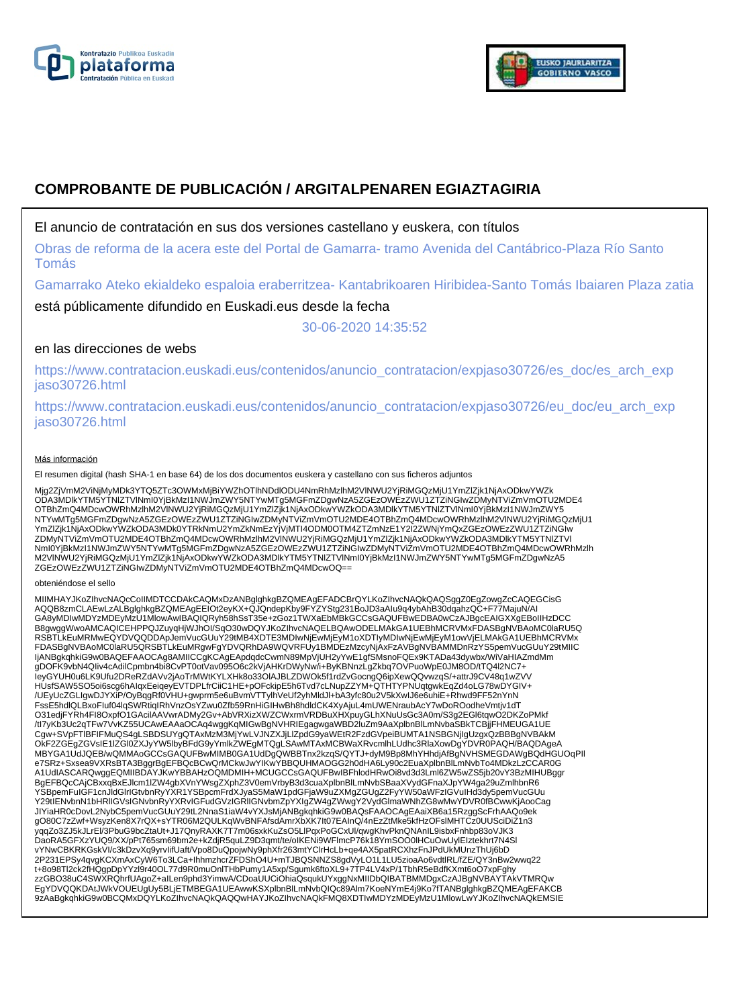



# **COMPROBANTE DE PUBLICACIÓN / ARGITALPENAREN EGIAZTAGIRIA**

# El anuncio de contratación en sus dos versiones castellano y euskera, con títulos

Obras de reforma de la acera este del Portal de Gamarra- tramo Avenida del Cantábrico-Plaza Río Santo Tomás

Gamarrako Ateko ekialdeko espaloia eraberritzea- Kantabrikoaren Hiribidea-Santo Tomás Ibaiaren Plaza zatia

está públicamente difundido en Euskadi.eus desde la fecha

30-06-2020 14:35:52

# en las direcciones de webs

https://www.contratacion.euskadi.eus/contenidos/anuncio\_contratacion/expjaso30726/es\_doc/es\_arch\_exp jaso30726.html

https://www.contratacion.euskadi.eus/contenidos/anuncio\_contratacion/expjaso30726/eu\_doc/eu\_arch\_exp jaso30726.html

#### Más información

El resumen digital (hash SHA-1 en base 64) de los dos documentos euskera y castellano con sus ficheros adjuntos

Mjg2ZjVmM2ViNjMyMDk3YTQ5ZTc3OWMxMjBiYWZhOTlhNDdlODU4NmRhMzlhM2VlNWU2YjRiMGQzMjU1YmZlZjk1NjAxODkwYWZk ODA3MDlkYTM5YTNlZTVlNmI0YjBkMzI1NWJmZWY5NTYwMTg5MGFmZDgwNzA5ZGEzOWEzZWU1ZTZiNGIwZDMyNTViZmVmOTU2MDE4 OTBhZmQ4MDcwOWRhMzlhM2VlNWU2YjRiMGQzMjU1YmZlZjk1NjAxODkwYWZkODA3MDlkYTM5YTNlZTVlNmI0YjBkMzI1NWJmZWY5 NTYwMTg5MGFmZDgwNzA5ZGEzOWEzZWU1ZTZiNGIwZDMyNTViZmVmOTU2MDE4OTBhZmQ4MDcwOWRhMzlhM2VlNWU2YjRiMGQzMjU1 YmZlZjk1NjAxODkwYWZkODA3MDk0YTRkNmU2YmZkNmEzYjVjMTI4ODM0OTM4ZTZmNzE1Y2I2ZWNjYmQxZGEzOWEzZWU1ZTZiNGIw ZDMyNTViZmVmOTU2MDE4OTBhZmQ4MDcwOWRhMzlhM2VINWU2YjRiMGQzMjU1YmZlZjk1NjAxODkwYWZkODA3MDIkYTM5YTNIZTVI<br>NmI0YjBkMzI1NWJmZWY5NTYwMTg5MGFmZDgwNzA5ZGEzOWEzZWU1ZTZiNGIwZDMyNTViZmVmOTU2MDE4OTBhZmQ4MDcwOWRhMzlh M2VlNWU2YjRiMGQzMjU1YmZlZjk1NjAxODkwYWZkODA3MDlkYTM5YTNlZTVlNmI0YjBkMzI1NWJmZWY5NTYwMTg5MGFmZDgwNzA5 ZGEzOWEzZWU1ZTZiNGIwZDMyNTViZmVmOTU2MDE4OTBhZmQ4MDcwOQ==

#### obteniéndose el sello

MIIMHAYJKoZIhvcNAQcCoIIMDTCCDAkCAQMxDzANBglghkgBZQMEAgEFADCBrQYLKoZIhvcNAQkQAQSggZ0EgZowgZcCAQEGCisG AQQB8zmCLAEwLzALBglghkgBZQMEAgEEIOt2eyKX+QJQndepKby9FYZYStg231BoJD3aAIu9q4ybAhB30dqahzQC+F77MajuN/AI GA8yMDIwMDYzMDEyMzU1MlowAwIBAQIQRyh58hSsT35e+zGoz1TWXaEbMBkGCCsGAQUFBwEDBA0wCzAJBgcEAIGXXgEBoIIHzDCC B8gwggWwoAMCAQICEHPPQJZuyqHjWJhOI/SqO30wDQYJKoZIhvcNAQELBQAwODELMAkGA1UEBhMCRVMxFDASBgNVBAoMC0laRU5Q RSBTLkEuMRMwEQYDVQQDDApJemVucGUuY29tMB4XDTE3MDIwNjEwMjEyM1oXDTIyMDIwNjEwMjEyM1owVjELMAkGA1UEBhMCRVMx FDASBgNVBAoMC0laRU5QRSBTLkEuMRgwFgYDVQRhDA9WQVRFUy1BMDEzMzcyNjAxFzAVBgNVBAMMDnRzYS5pemVucGUuY29tMIIC IjANBgkqhkiG9w0BAQEFAAOCAg8AMIICCgKCAgEApdqdcCwmN89MpVjUH2yYwE1gfSMsnoFQEx9KTADa43dywbx/WiVaHIAZmdMm gDOFK9vbN4QIiv4cAdilCpmbn4bi8CvPT0otVav095O6c2kVjAHKrDWyNw/i+ByKBNnzLgZkbq7OVPuoWpE0JM8OD/tTQ4l2NC7+<br>IeyGYUH0u6LK9Ufu2DReRZdAVv2jAoTrMWtKYLXHk8o33OIAJBLZDWOk5f1rdZvGocngQ6ipXewQQvwzqS/+attrJ9CV48q1wZVV HUsfSAW5SO5oi6scg6hAIqxEeiqeyEVTDPLfrCiiC1HE+pOFckipE5h6Tvd7cLNupZZYM+QTHTYPNUqtgwkEqZd4oLG78wDYGIV+ /UEyUcZGLIgwDJYXiP/OyBqgRf0VHU+gwprm5e6uBvmVTTylhVeUf2yhMldJl+bA3yfc80u2V5kXwIJ6e6uhiE+Rhwd9FF52nYnN FssE5hdlQLBxoFIuf04lqSWRtiqIRhVnzOsYZwu0Zfb59RnHiGIHwBh8hdldCK4XyAjuL4mUWENraubAcY7wDoROodheVmtjv1dT O31edjFYRh4FI8OxpfO1GAcilAAVwrADMy2Gv+AbVRXizXWZCWxrmVRDBuXHXpuyGLhXNuUsGc3A0m/S3g2EGl6tqwO2DKZoPMkf /tI7yKb3Uc2qTFw7VvKZ55UCAwEAAaOCAq4wggKqMIGwBgNVHRIEgagwgaWBD2luZm9AaXplbnBlLmNvbaSBkTCBjjFHMEUGA1UE Cgw+SVpFTlBFIFMuQS4gLSBDSUYgQTAxMzM3MjYwLVJNZXJjLlZpdG9yaWEtR2FzdGVpeiBUMTA1NSBGNjIgUzgxQzBBBgNVBAkM OkF2ZGEgZGVsIE1IZGI0ZXJyYW5lbyBFdG9yYmlkZWEgMTQgLSAwMTAxMCBWaXRvcmlhLUdhc3RlaXowDgYDVR0PAQH/BAQDAgeA<br>MBYGA1UdJQEB/wQMMAoGCCsGAQUFBwMIMB0GA1UdDgQWBBTnx2kzqS/QYTJ+dyM9Bp8MhYHhdjAfBgNVHSMEGDAWgBQdHGUOqPII<br>e7SRz+Sxsea9VXRsBTA3 A1UdIASCARQwggEQMIIBDAYJKwYBBAHzOQMDMIH+MCUGCCsGAQUFBwIBFhlodHRwOi8vd3d3Lml6ZW5wZS5jb20vY3BzMIHUBggr BgEFBQcCAjCBxxqBxEJlcm1lZW4gbXVnYWsqZXphZ3V0emVrbyB3d3cuaXplbnBlLmNvbSBaaXVydGFnaXJpYW4ga29uZmlhbnR6 YSBpemFuIGF1cnJldGlrIGtvbnRyYXR1YSBpcmFrdXJyaS5MaW1pdGFjaW9uZXMgZGUgZ2FyYW50aWFzIGVuIHd3dy5pemVucGUu Y29tIENvbnN1bHRlIGVsIGNvbnRyYXRvIGFudGVzIGRlIGNvbmZpYXIgZW4gZWwgY2VydGlmaWNhZG8wMwYDVR0fBCwwKjAooCag JIYiaHR0cDovL2NybC5pemVucGUuY29tL2NnaS1iaW4vYXJsMjANBgkqhkiG9w0BAQsFAAOCAgEAaiXB6a15RzggScFrhAAQo9ek gO80C7zZwf+WsyzKen8X7rQX+sYTR06M2QULKqWvBNFAfsdAmrXbXK7lt07EAInQ/4nEzZtMke5kfHzOFslMHTCz0UUSciDiZ1n3<br>yqqZo3ZJ5kJLrEl/3PbuG9bcZtaUt+J17QnyRAXK7T7m06sxkKuZsO5LlPqxPoGCxUl/qwgKhvPknQNAnIL9isbxFnhbp83oVJK3 DaoRA5GFXzYUQ9/XX/pPt765sm69bm2e+kZdjR5quLZ9D3qmt/te/oIKENi9WFlmcP76k18YmSOO0lHCuOwUylEIztekhrt7N4Sl vYNwCBKRKGskVI/c3kDzvXq9yrvIifUaft/Vpo8DuQpojwNy9phXfr263mtYClrHcLb+qe4AX5patRCXhzFnJPdUkMUnzThUj6bD 2P231EPSy4qvgKCXmAxCyW6To3LCa+IhhmzhcrZFDShO4U+mTJBQSNNZS8gdVyLO1L1LU5zioaAo6vdtlRL/fZE/QY3nBw2wwq22 t+8o98Tl2ck2fHQgpDpYYzl9r40OL77d9R0muOnlTHbPumy1A5xp/Sgumk6ftoXL9+7TP4LV4xP/1TbhR5eBdfKXmt6oO7xpFghy zzGBO38uC4SWXRQhrfUAgoZ+aILen9phd3YimwA/CDoaUUCiOhiaQsqukUYxggNxMIIDbQIBATBMMDgxCzAJBgNVBAYTAkVTMRQw EgYDVQQKDAtJWkVOUEUgUy5BLjETMBEGA1UEAwwKSXplbnBlLmNvbQIQc89Alm7KoeNYmE4j9Ko7fTANBglghkgBZQMEAgEFAKCB 9zAaBgkqhkiG9w0BCQMxDQYLKoZIhvcNAQkQAQQwHAYJKoZIhvcNAQkFMQ8XDTIwMDYzMDEyMzU1MlowLwYJKoZIhvcNAQkEMSIE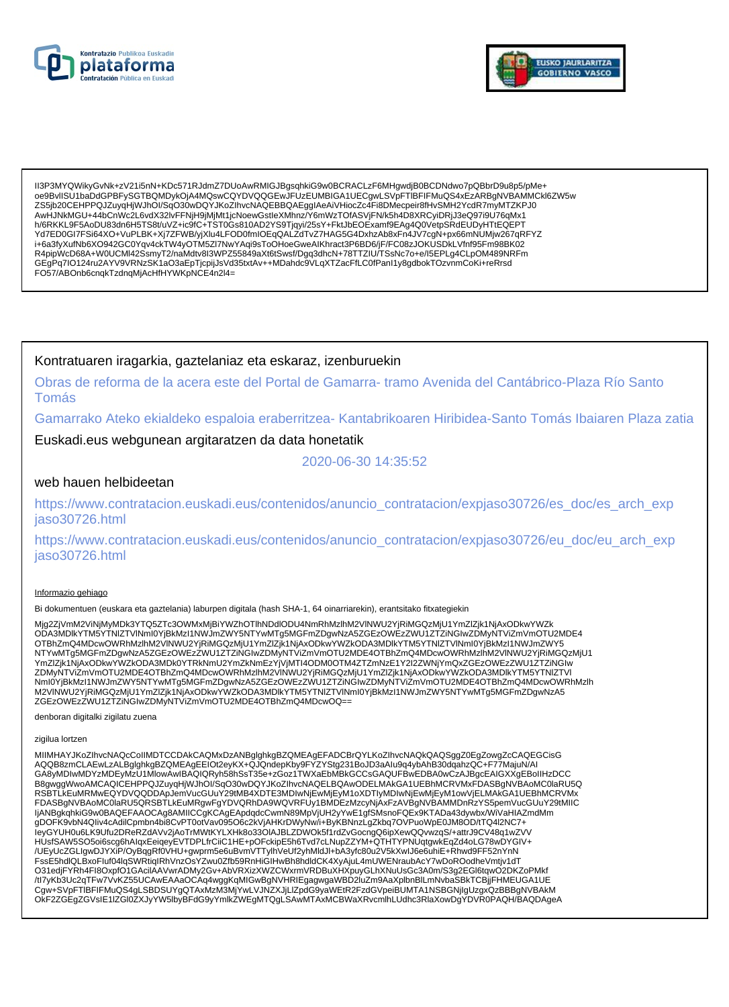



II3P3MYQWikyGvNk+zV21i5nN+KDc571RJdmZ7DUoAwRMIGJBgsqhkiG9w0BCRACLzF6MHgwdjB0BCDNdwo7pQBbrD9u8p5/pMe+ 0e9BvlISU1baDdGPBFySGTBQMDykOjA4MQswCQYDVQQGEwJFUzEUMBIGA1UECqwLSVpFTIBFIFMuQS4xEzARBqNVBAMMCkl6ZW5w ZS5jb20CEHPPQJZuyqHjWJhOl/SqO30wDQYJKoZlhvcNAQEBBQAEgglAeAiVHiocZc4Fi8DMecpeir8fHvSMH2YcdR7myMTZKPJ0 AwHJNkMGU+44bCnWc2L6vdX32IvFFNjH9jMjMt1jcNoewGstleXMhnz/Y6mWzTOfASVjFN/k5h4D8XRCyiDRjJ3eQ97i9U76qMx1 h/6RKKL9F5AoDU83dn6H5TS8t/uVZ+ic9fC+TST0Gs810AD2YS9Tjqyi/25sY+FktJbEOExamf9EAg4Q0VetpSRdEUDyHTtEQEPT Yd7ED0GI7FSi64XO+VuPLBK+Xj7ZFWB/yjXlu4LFOD0fmIOEqQALZdTvZ7HAG5G4DxhzAb8xFn4JV7cgN+px66mNUMjw267qRFYZ i+6a3fyXufNb6XO942GC0Yqv4ckTW4yOTM5Zl7NwYAqi9sToOHoeGweAlKhract3P6BD6/jF/FC08zJOKUSDkLVfnf95Fm98BK02<br>R4pipWcD68A+W0UCMl42SsmyT2/naMdtv8I3WPZ55849aXt6tSwsf/Dgq3dhcN+78TTZIU/TSsNc7o+e/l5EPLg4CLpOM489NRFm Archives Archives Archives Archives Archives Archives Archives Archives Archives Archives Archives Archives Archives Archives Archives Archives Archives Archives Archives Archives Archives Archives Archives Archives Archiv

### Kontratuaren iragarkia, gaztelaniaz eta eskaraz, izenburuekin

Obras de reforma de la acera este del Portal de Gamarra-tramo Avenida del Cantábrico-Plaza Río Santo **Tomás** 

Gamarrako Ateko ekialdeko espaloia eraberritzea- Kantabrikoaren Hiribidea-Santo Tomás Ibaiaren Plaza zatia

Euskadi.eus webgunean argitaratzen da data honetatik

2020-06-30 14:35:52

### web hauen helbideetan

https://www.contratacion.euskadi.eus/contenidos/anuncio\_contratacion/expjaso30726/es\_doc/es\_arch\_exp iaso30726.html

https://www.contratacion.euskadi.eus/contenidos/anuncio contratacion/expjaso30726/eu doc/eu arch exp jaso30726.html

#### Informazio gehiago

Bi dokumentuen (euskara eta gaztelania) laburpen digitala (hash SHA-1, 64 oinarriarekin), erantsitako fitxategiekin

Mjg2ZjVmM2ViNjMyMDk3YTQ5ZTc3OWMxMjBiYWZhOTlhNDdlODU4NmRhMzlhM2VlNWU2YjRiMGQzMjU1YmZlZjk1NjAxODkwYWZk ODA3MDlkYTM5YTNIZTVINml0YjBkMzI1NWJmZWY5NTYwMTg5MGFmZDgwNzA5ZGEzOWEzZWU1ZTZiNGIwZDMyNTViZmVmOTU2MDE4 OTBhZmQ4MDcwOWRhMzIhM2VINWU2YjRiMGQzMjU1YmZlZjk1NjAxODkwYWZkODA3MDlkYTM5YTNlZTVINml0YjBkMzI1NWJmZWY5<br>NTYwMTg5MGFmZDgwNzA5ZGEzOWEzZWU1ZTZiNGIwZDMyNTViZmVmOTU2MDE4OTBhZmQ4MDcwOWRhMzIhM2VINWU2YjRiMGQzMjU1 iver in de and the system of the system of the system of the system of the system of the system of the system of the system of the system of the system of the system of the system of the system of the system of the system Nml0YjBkMzl1NWJmZWY5NTYwMTg5MGFmZDgwNzA5ZGEzOWEzZWU1ZTZiNGIwZDMyNTViZmVmOTU2MDE4OTBhZmQ4MDcwOWRhMzlh M2VINWU2YjRiMGQzMjU1YmZlZjk1NjAxODkwYWZkODA3MDlkYTM5YTNIZTVINml0YjBkMzI1NWJmZWY5NTYwMTg5MGFmZDgwNzA5 ZGEzOWEzZWU1ZTZiŃGIwZDMyNTViZmVmOTU2MDE4OTBhZmQ4MDcwOQ==

denboran digitalki zigilatu zuena

zigilua lortzen

MIIMHAYJKoZIhvcNAQcCoIIMDTCCDAkCAQMxDzANBglghkgBZQMEAgEFADCBrQYLKoZIhvcNAQkQAQSggZ0EgZowgZcCAQEGCisG<br>AQQB8zmCLAEwLzALBglghkgBZQMEAgEEIOt2eyKX+QJQndepKby9FYZYStg231BoJD3aAIu9q4ybAhB30dqahzQC+F77MajuN/AI CA8yMDIwMDYzMDEyMzU1MlowAwIBAQIQRyh58hSsT35e+zGoz1TWXaEbMBkGCCsGAQUFBwEDBA0wCzAJBgcEAIGXXgEBoIIHzDCC<br>B8gwggWwoAMCAQICEHPPQJZuyqHjWJhOI/SqO30wDQYJKoZIhvcNAQELBQAwODELMAkGA1UEBhMCRVMxFDASBgNVBAoMC0laRU5Q COMMISSION AND CONTROL TO A PROGRAM AND THE SIMULATION IN A SETTLE UNIVERSITY OF THE RELEASED OF THE BINDING S<br>FOR SETTLE UMRIMME QYDVQQDDA pJemVucGUuY29tMB4XDTE3MDIwNjEwMjEyM1oXDTIyMDIwNjEwMjEyM1owVjELMAkGA1UEBhMCRVMx<br>FDA IjANBgkqhkiG9w0BAQEFAAOCAg8AMIICCgKCAgEApdqdcCwmN89MpVjUH2yYwE1gfSMsnoFQEx9KTADa43dywbx/WiVaHIAZmdMm gDOFK9vbN4Qliv4cAdilCpmbn4bi8CvPT0otVav095O6c2kVjAHKrDWyNw/i+ByKBNnzLgZkbq7OVPuoWpE0JM8OD/tTQ4l2NC7+ leyGYUH0u6LK9Ufu2DReRZdAVv2jAoTrMWtKYLXHk8o33OIAJBLZDWOk5f1rdZvGocngQ6ipXewQQvwzqS/+attrJ9CV48q1wZVV HUsfSAW5SO5oi6scg6hAlqxEeiqeyEVTDPLfrCiiC1HE+pOFckipE5h6Tvd7cLNupZZYM+QTHTYPNUqtgwkEqZd4oLG78wDYGIV+ /UEyUcZGLIgwDJYXiP/OyBqgRf0VHU+gwprm5e6uBvmVTTylhVeUf2yhMldJl+bA3yfc80u2V5kXwJJ6e6uhiE+Rhwd9FF52nYnN<br>FssE5hdlQLBxoFluf04lqSWRtiqIRhVnzOsYZwu0Zfb59RnHiGIHwBh8hdldCK4XyAjuL4mUWENraubAcY7wDoROodheVmtjv1dT<br>O31edjFYRh4FI8OxpfO1 The Samuel Control of the CARL CARE CARE CONTROL CONTROL CONTROL CONTROL CONTROL CONTROL CONTROL CONTROL CONTROL CONTROL CONTROL CONTROL CONTROL CONTROL CONTROL CONTROL CONTROL CONTROL CONTROL CONTROL CONTROL CONTROL CONTR Cgw+SVpFTIBFIFMuQS4gLSBDSUYgQTAxMzM3MjYwLVJNZXJjLlZpdG9yaWEtR2FzdGVpeiBUMTA1NSBGNjIgUzgxQzBBBgNVBAkM OKF2ZGEgZGVsIE1IZGl0ZXJyYW5lbyBFdG9yYmlkZWEgMTQgLSAwMTAxMCBWaXRvcmlhLUdhc3RlaXowDgYDVR0PAQH/BAQDAgeA